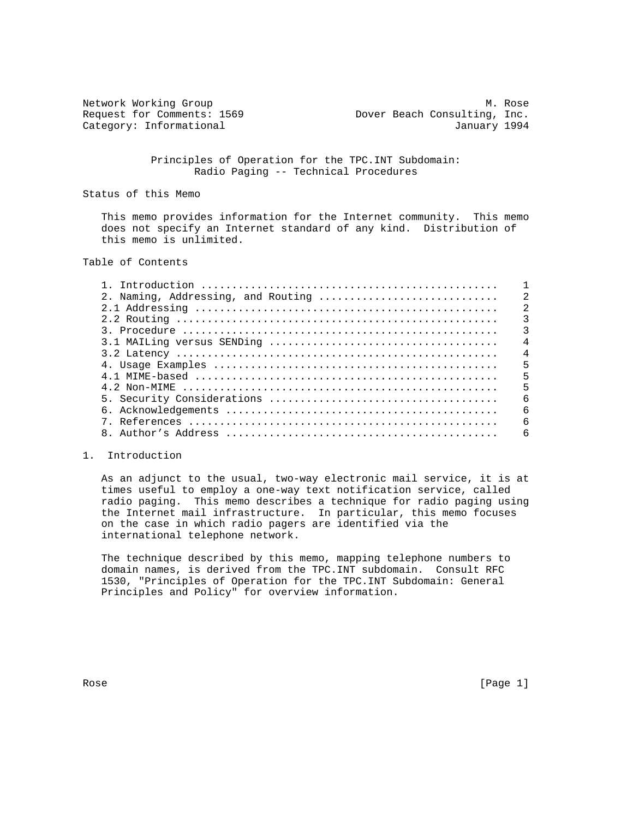Request for Comments: 1569 Dover Beach Consulting, Inc.

Network Working Group Methods and Methods Methods Methods Methods Methods Methods Methods Methods Methods Methods Methods Methods Methods Methods Methods Methods Methods Methods Methods Methods Methods Methods Methods Meth Category: Informational and Category: Informational and January 1994

> Principles of Operation for the TPC.INT Subdomain: Radio Paging -- Technical Procedures

Status of this Memo

 This memo provides information for the Internet community. This memo does not specify an Internet standard of any kind. Distribution of this memo is unlimited.

# Table of Contents

| 2. Naming, Addressing, and Routing | $\mathcal{D}$  |
|------------------------------------|----------------|
|                                    | $\overline{2}$ |
|                                    |                |
|                                    | 3              |
|                                    | $\overline{4}$ |
|                                    | $\overline{4}$ |
|                                    | 5              |
|                                    | 5              |
|                                    | 5              |
|                                    | $\epsilon$     |
|                                    | $\sqrt{2}$     |
|                                    | 6              |
|                                    | 6              |

#### 1. Introduction

 As an adjunct to the usual, two-way electronic mail service, it is at times useful to employ a one-way text notification service, called radio paging. This memo describes a technique for radio paging using the Internet mail infrastructure. In particular, this memo focuses on the case in which radio pagers are identified via the international telephone network.

 The technique described by this memo, mapping telephone numbers to domain names, is derived from the TPC.INT subdomain. Consult RFC 1530, "Principles of Operation for the TPC.INT Subdomain: General Principles and Policy" for overview information.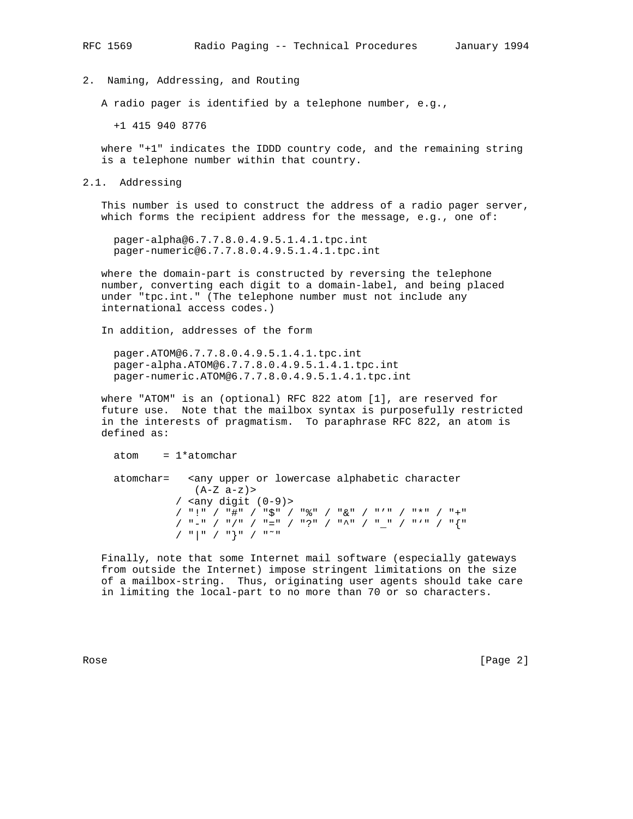2. Naming, Addressing, and Routing

A radio pager is identified by a telephone number, e.g.,

+1 415 940 8776

 where "+1" indicates the IDDD country code, and the remaining string is a telephone number within that country.

2.1. Addressing

 This number is used to construct the address of a radio pager server, which forms the recipient address for the message, e.g., one of:

 pager-alpha@6.7.7.8.0.4.9.5.1.4.1.tpc.int pager-numeric@6.7.7.8.0.4.9.5.1.4.1.tpc.int

 where the domain-part is constructed by reversing the telephone number, converting each digit to a domain-label, and being placed under "tpc.int." (The telephone number must not include any international access codes.)

In addition, addresses of the form

 pager.ATOM@6.7.7.8.0.4.9.5.1.4.1.tpc.int pager-alpha.ATOM@6.7.7.8.0.4.9.5.1.4.1.tpc.int pager-numeric.ATOM@6.7.7.8.0.4.9.5.1.4.1.tpc.int

 where "ATOM" is an (optional) RFC 822 atom [1], are reserved for future use. Note that the mailbox syntax is purposefully restricted in the interests of pragmatism. To paraphrase RFC 822, an atom is defined as:

 $atom = 1*atomchar$ 

 atomchar= <any upper or lowercase alphabetic character  $(A-Z a-z)$  / <any digit (0-9)> / "!" / "#" / "\$" / "%" / "&" / "'" / "\*" / "+" / "-" / "/" / "=" / "?" / "^" / "\_" / "'" / "{" / "|" / "}" / "˜"

 Finally, note that some Internet mail software (especially gateways from outside the Internet) impose stringent limitations on the size of a mailbox-string. Thus, originating user agents should take care in limiting the local-part to no more than 70 or so characters.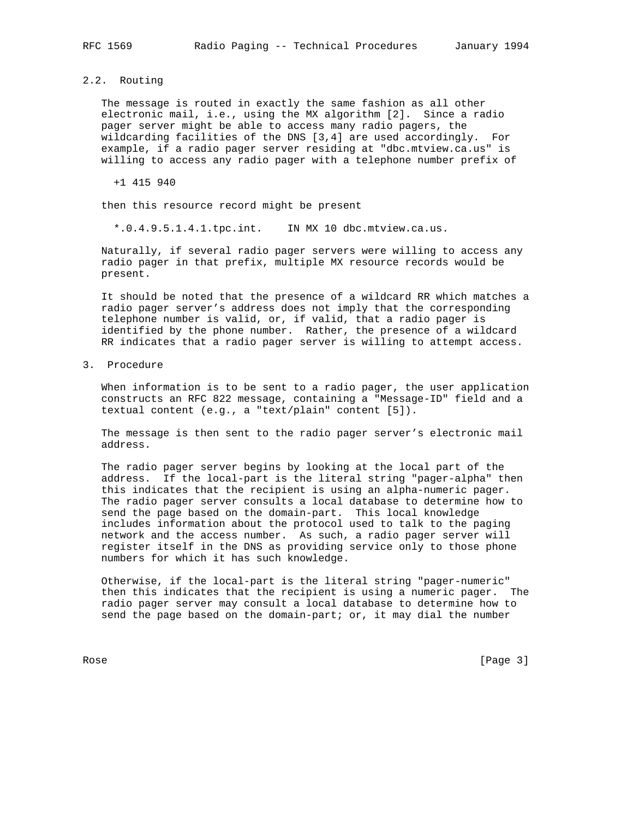## 2.2. Routing

 The message is routed in exactly the same fashion as all other electronic mail, i.e., using the MX algorithm [2]. Since a radio pager server might be able to access many radio pagers, the wildcarding facilities of the DNS [3,4] are used accordingly. For example, if a radio pager server residing at "dbc.mtview.ca.us" is willing to access any radio pager with a telephone number prefix of

+1 415 940

then this resource record might be present

\*.0.4.9.5.1.4.1.tpc.int. IN MX 10 dbc.mtview.ca.us.

 Naturally, if several radio pager servers were willing to access any radio pager in that prefix, multiple MX resource records would be present.

 It should be noted that the presence of a wildcard RR which matches a radio pager server's address does not imply that the corresponding telephone number is valid, or, if valid, that a radio pager is identified by the phone number. Rather, the presence of a wildcard RR indicates that a radio pager server is willing to attempt access.

3. Procedure

 When information is to be sent to a radio pager, the user application constructs an RFC 822 message, containing a "Message-ID" field and a textual content (e.g., a "text/plain" content [5]).

 The message is then sent to the radio pager server's electronic mail address.

 The radio pager server begins by looking at the local part of the address. If the local-part is the literal string "pager-alpha" then this indicates that the recipient is using an alpha-numeric pager. The radio pager server consults a local database to determine how to send the page based on the domain-part. This local knowledge includes information about the protocol used to talk to the paging network and the access number. As such, a radio pager server will register itself in the DNS as providing service only to those phone numbers for which it has such knowledge.

 Otherwise, if the local-part is the literal string "pager-numeric" then this indicates that the recipient is using a numeric pager. The radio pager server may consult a local database to determine how to send the page based on the domain-part; or, it may dial the number

Rose [Page 3]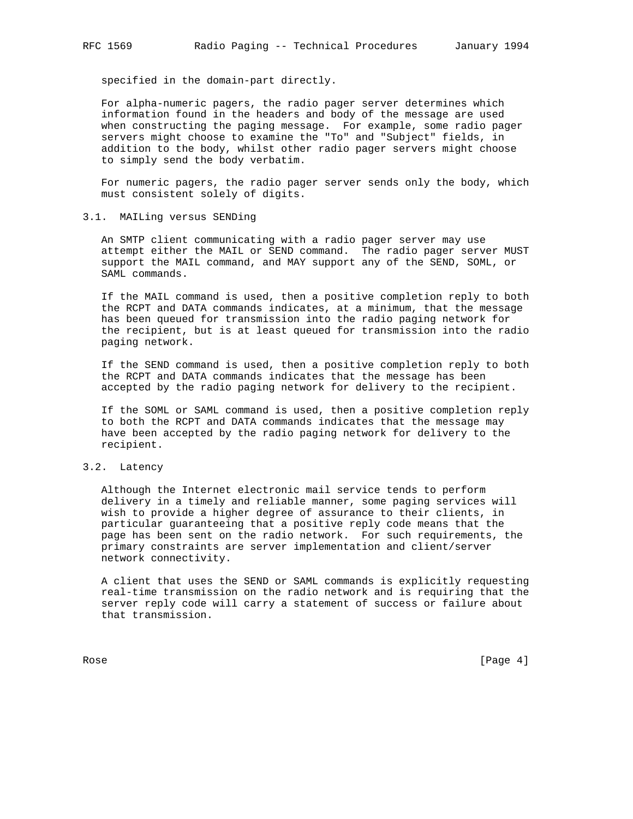specified in the domain-part directly.

 For alpha-numeric pagers, the radio pager server determines which information found in the headers and body of the message are used when constructing the paging message. For example, some radio pager servers might choose to examine the "To" and "Subject" fields, in addition to the body, whilst other radio pager servers might choose to simply send the body verbatim.

 For numeric pagers, the radio pager server sends only the body, which must consistent solely of digits.

#### 3.1. MAILing versus SENDing

 An SMTP client communicating with a radio pager server may use attempt either the MAIL or SEND command. The radio pager server MUST support the MAIL command, and MAY support any of the SEND, SOML, or SAML commands.

 If the MAIL command is used, then a positive completion reply to both the RCPT and DATA commands indicates, at a minimum, that the message has been queued for transmission into the radio paging network for the recipient, but is at least queued for transmission into the radio paging network.

 If the SEND command is used, then a positive completion reply to both the RCPT and DATA commands indicates that the message has been accepted by the radio paging network for delivery to the recipient.

 If the SOML or SAML command is used, then a positive completion reply to both the RCPT and DATA commands indicates that the message may have been accepted by the radio paging network for delivery to the recipient.

#### 3.2. Latency

 Although the Internet electronic mail service tends to perform delivery in a timely and reliable manner, some paging services will wish to provide a higher degree of assurance to their clients, in particular guaranteeing that a positive reply code means that the page has been sent on the radio network. For such requirements, the primary constraints are server implementation and client/server network connectivity.

 A client that uses the SEND or SAML commands is explicitly requesting real-time transmission on the radio network and is requiring that the server reply code will carry a statement of success or failure about that transmission.

Rose [Page 4] [Page 4] [Page 4] [Page 4] [Page 4] [Page 4] [Page 4] [Page 4] [Page 4] [Page 4] [Page 4] [Page 4] [Page 4] [Page 4] [Page 4] [Page 4] [Page 4] [Page 4] [Page 4] [Page 4] [Page 4] [Page 4] [Page 4] [Page 4] [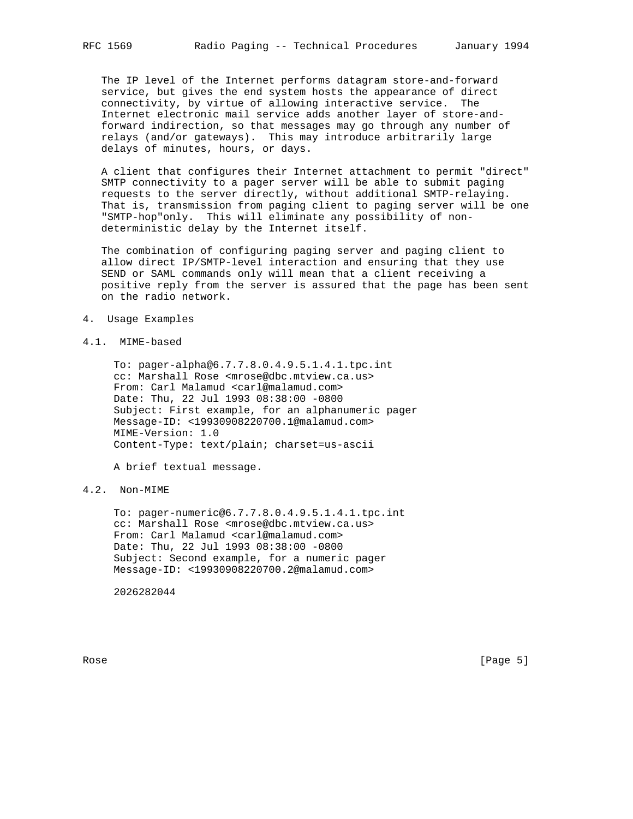The IP level of the Internet performs datagram store-and-forward service, but gives the end system hosts the appearance of direct connectivity, by virtue of allowing interactive service. The Internet electronic mail service adds another layer of store-and forward indirection, so that messages may go through any number of relays (and/or gateways). This may introduce arbitrarily large delays of minutes, hours, or days.

 A client that configures their Internet attachment to permit "direct" SMTP connectivity to a pager server will be able to submit paging requests to the server directly, without additional SMTP-relaying. That is, transmission from paging client to paging server will be one "SMTP-hop"only. This will eliminate any possibility of non deterministic delay by the Internet itself.

 The combination of configuring paging server and paging client to allow direct IP/SMTP-level interaction and ensuring that they use SEND or SAML commands only will mean that a client receiving a positive reply from the server is assured that the page has been sent on the radio network.

4. Usage Examples

## 4.1. MIME-based

 To: pager-alpha@6.7.7.8.0.4.9.5.1.4.1.tpc.int cc: Marshall Rose <mrose@dbc.mtview.ca.us> From: Carl Malamud <carl@malamud.com> Date: Thu, 22 Jul 1993 08:38:00 -0800 Subject: First example, for an alphanumeric pager Message-ID: <19930908220700.1@malamud.com> MIME-Version: 1.0 Content-Type: text/plain; charset=us-ascii

A brief textual message.

# 4.2. Non-MIME

 To: pager-numeric@6.7.7.8.0.4.9.5.1.4.1.tpc.int cc: Marshall Rose <mrose@dbc.mtview.ca.us> From: Carl Malamud <carl@malamud.com> Date: Thu, 22 Jul 1993 08:38:00 -0800 Subject: Second example, for a numeric pager Message-ID: <19930908220700.2@malamud.com>

2026282044